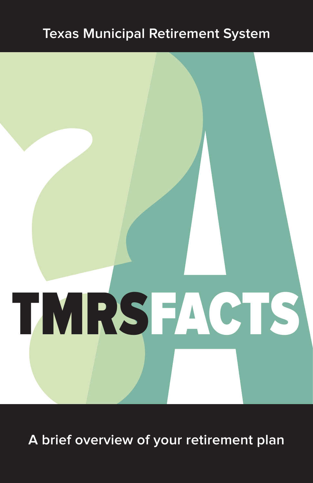# **Texas Municipal Retirement System**



**A brief overview of your retirement plan**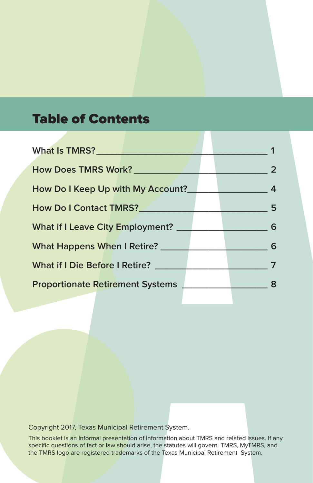# Table of Contents

| What Is TMRS? <u>Andrew Management</u>       |                                 |                  |  |
|----------------------------------------------|---------------------------------|------------------|--|
| How Does TMRS Work? Now Does TMRS Work?      |                                 | 2                |  |
|                                              |                                 | $\boldsymbol{4}$ |  |
| How Do I Contact TMRS? Now You Contact TMRS? |                                 | -5               |  |
|                                              |                                 | - 6              |  |
|                                              |                                 | 6                |  |
|                                              |                                 |                  |  |
| <b>Proportionate Retirement Systems</b>      | the contract of the contract of | 8                |  |
|                                              |                                 |                  |  |

Copyright 2017, Texas Municipal Retirement System.

This booklet is an informal presentation of information about TMRS and related issues. If any specific questions of fact or law should arise, the statutes will govern. TMRS, MyTMRS, and the TMRS logo are registered trademarks of the Texas Municipal Retirement System.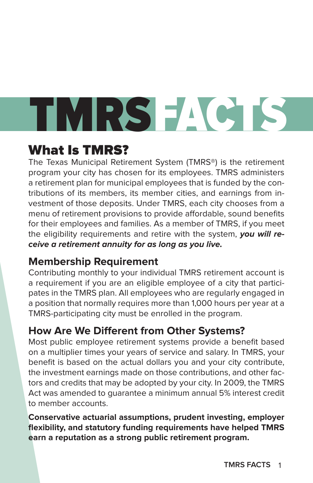# TMRSFACT

# What Is TMRS?

The Texas Municipal Retirement System (TMRS®) is the retirement program your city has chosen for its employees. TMRS administers a retirement plan for municipal employees that is funded by the contributions of its members, its member cities, and earnings from investment of those deposits. Under TMRS, each city chooses from a menu of retirement provisions to provide affordable, sound benefits for their employees and families. As a member of TMRS, if you meet the eligibility requirements and retire with the system, **you will receive a retirement annuity for as long as you live.**

#### **Membership Requirement**

Contributing monthly to your individual TMRS retirement account is a requirement if you are an eligible employee of a city that participates in the TMRS plan. All employees who are regularly engaged in a position that normally requires more than 1,000 hours per year at a TMRS-participating city must be enrolled in the program.

# **How Are We Different from Other Systems?**

Most public employee retirement systems provide a benefit based on a multiplier times your years of service and salary. In TMRS, your benefit is based on the actual dollars you and your city contribute, the investment earnings made on those contributions, and other factors and credits that may be adopted by your city. In 2009, the TMRS Act was amended to guarantee a minimum annual 5% interest credit to member accounts.

**Conservative actuarial assumptions, prudent investing, employer flexibility, and statutory funding requirements have helped TMRS earn a reputation as a strong public retirement program.**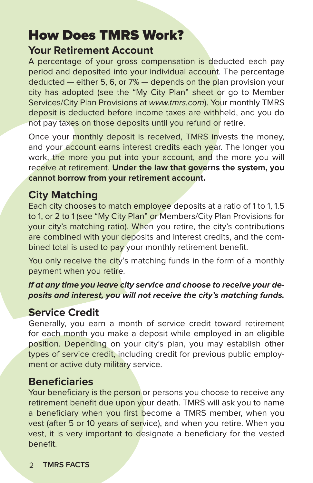# How Does TMRS Work?

#### **Your Retirement Account**

A percentage of your gross compensation is deducted each pay period and deposited into your individual account. The percentage deducted — either 5, 6, or 7% — depends on the plan provision your city has adopted (see the "My City Plan" sheet or go to Member Services/City Plan Provisions at www.tmrs.com). Your monthly TMRS deposit is deducted before income taxes are withheld, and you do not pay taxes on those deposits until you refund or retire.

Once your monthly deposit is received, TMRS invests the money, and your account earns interest credits each year. The longer you work, the more you put into your account, and the more you will receive at retirement. **Under the law that governs the system, you cannot borrow from your retirement account.**

#### **City Matching**

Each city chooses to match employee deposits at a ratio of 1 to 1, 1.5 to 1, or 2 to 1 (see "My City Plan" or Members/City Plan Provisions for your city's matching ratio). When you retire, the city's contributions are combined with your deposits and interest credits, and the combined total is used to pay your monthly retirement benefit.

You only receive the city's matching funds in the form of a monthly payment when you retire.

**If at any time you leave city service and choose to receive your deposits and interest, you will not receive the city's matching funds.**

#### **Service Credit**

Generally, you earn a month of service credit toward retirement for each month you make a deposit while employed in an eligible position. Depending on your city's plan, you may establish other types of service credit, including credit for previous public employment or active duty military service.

#### **Beneficiaries**

Your beneficiary is the person or persons you choose to receive any retirement benefit due upon your death. TMRS will ask you to name a beneficiary when you first become a TMRS member, when you vest (after 5 or 10 years of service), and when you retire. When you vest, it is very important to designate a beneficiary for the vested benefit.

#### 2 **TMRS FACTS**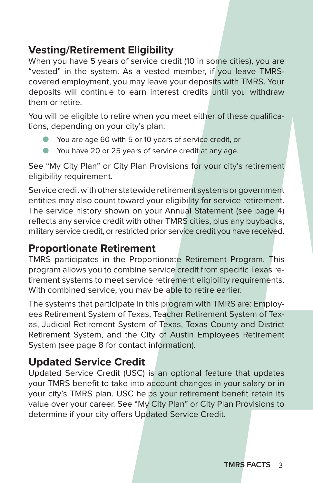#### **Vesting/Retirement Eligibility**

When you have 5 years of service credit (10 in some cities), you are "vested" in the system. As a vested member, if you leave TMRScovered employment, you may leave your deposits with TMRS. Your deposits will continue to earn interest credits until you withdraw them or retire.

You will be eligible to retire when you meet either of these qualifications, depending on your city's plan:

- You are age 60 with 5 or 10 years of service credit, or
- You have 20 or 25 years of service credit at any age.

See "My City Plan" or City Plan Provisions for your city's retirement eligibility requirement.

Service credit with other statewide retirement systems or government entities may also count toward your eligibility for service retirement. The service history shown on your Annual Statement (see page 4) reflects any service credit with other TMRS cities, plus any buybacks, military service credit, or restricted prior service credit you have received.

#### **Proportionate Retirement**

TMRS participates in the Proportionate Retirement Program. This program allows you to combine service credit from specific Texas retirement systems to meet service retirement eligibility requirements. With combined service, you may be able to retire earlier.

The systems that participate in this program with TMRS are: Employees Retirement System of Texas, Teacher Retirement System of Texas, Judicial Retirement System of Texas, Texas County and District Retirement System, and the City of Austin Employees Retirement System (see page 8 for contact information).

#### **Updated Service Credit**

Updated Service Credit (USC) is an optional feature that updates your TMRS benefit to take into account changes in your salary or in your city's TMRS plan. USC helps your retirement benefit retain its value over your career. See "My City Plan" or City Plan Provisions to determine if your city offers Updated Service Credit.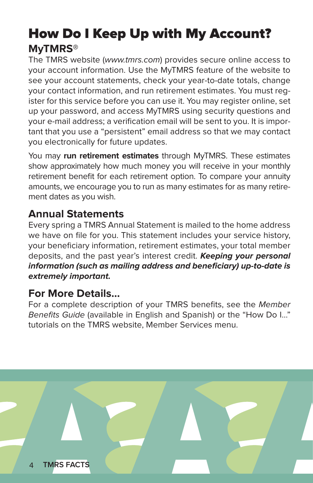# How Do I Keep Up with My Account?

# **MyTMRS®**

The TMRS website (www.tmrs.com) provides secure online access to your account information. Use the MyTMRS feature of the website to see your account statements, check your year-to-date totals, change your contact information, and run retirement estimates. You must register for this service before you can use it. You may register online, set up your password, and access MyTMRS using security questions and your e-mail address; a verification email will be sent to you. It is important that you use a "persistent" email address so that we may contact you electronically for future updates.

You may **run retirement estimates** through MyTMRS. These estimates show approximately how much money you will receive in your monthly retirement benefit for each retirement option. To compare your annuity amounts, we encourage you to run as many estimates for as many retirement dates as you wish.

# **Annual Statements**

Every spring a TMRS Annual Statement is mailed to the home address we have on file for you. This statement includes your service history, your beneficiary information, retirement estimates, your total member deposits, and the past year's interest credit. **Keeping your personal information (such as mailing address and beneficiary) up-to-date is extremely important.**

# **For More Details…**

For a complete description of your TMRS benefits, see the Member Benefits Guide (available in English and Spanish) or the "How Do I…" tutorials on the TMRS website, Member Services menu.

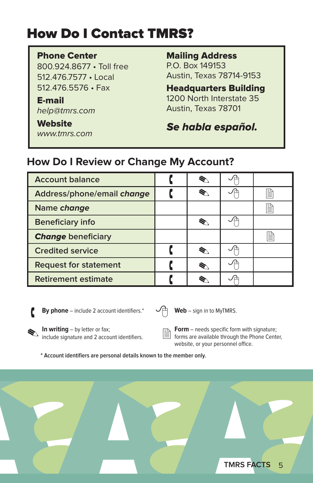# How Do I Contact TMRS?

#### Phone Center

800.924.8677 • Toll free 512.476.7577 • Local 512.476.5576 • Fax

#### Mailing Address

P.O. Box 149153 Austin, Texas 78714-9153

Headquarters Building 1200 North Interstate 35 Austin, Texas 78701

# Se habla español.

**Website** www.tmrs.com

help@tmrs.com

E-mail

#### **How Do I Review or Change My Account?**

| <b>Account balance</b>       |  |   |
|------------------------------|--|---|
| Address/phone/email change   |  | § |
| Name change                  |  | ≧ |
| <b>Beneficiary info</b>      |  |   |
| <b>Change beneficiary</b>    |  | ≣ |
| <b>Credited service</b>      |  |   |
| <b>Request for statement</b> |  |   |
| <b>Retirement estimate</b>   |  |   |

**By phone** – include 2 account identifiers.\*

一 **Web** – sign in to MyTMRS.

**In writing** – by letter or fax;<br>include signature and 2 account identifiers. **In writing** – by letter or fax;

 $\overline{\mathbf{C}}$ 

**Form** – needs specific form with signature;<br>
forms are available through the Phone Cente forms are available through the Phone Center, website, or your personnel office.

**\* Account identifiers are personal details known to the member only.**

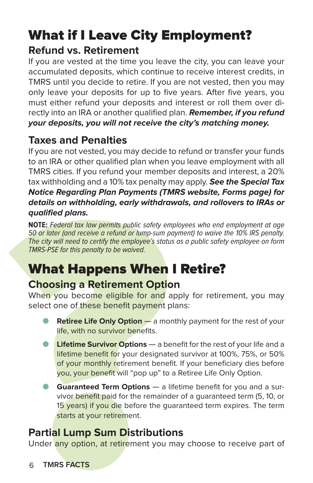# What if I Leave City Employment?

#### **Refund vs. Retirement**

If you are vested at the time you leave the city, you can leave your accumulated deposits, which continue to receive interest credits, in TMRS until you decide to retire. If you are not vested, then you may only leave your deposits for up to five years. After five years, you must either refund your deposits and interest or roll them over directly into an IRA or another qualified plan. **Remember, if you refund your deposits, you will not receive the city's matching money.**

# **Taxes and Penalties**

If you are not vested, you may decide to refund or transfer your funds to an IRA or other qualified plan when you leave employment with all TMRS cities. If you refund your member deposits and interest, a 20% tax withholding and a 10% tax penalty may apply. **See the Special Tax Notice Regarding Plan Payments (TMRS website, Forms page) for details on withholding, early withdrawals, and rollovers to IRAs or qualified plans.**

**NOTE:** Federal tax law permits public safety employees who end employment at age 50 or later (and receive a refund or lump-sum payment) to waive the 10% IRS penalty. The city will need to certify the employee's status as a public safety employee on form TMRS-PSE for this penalty to be waived.

# What Happens When I Retire?

# **Choosing a Retirement Option**

When you become eligible for and apply for retirement, you may select one of these benefit payment plans:

- **Retiree Life Only Option** a monthly payment for the rest of your life, with no survivor benefits.
- **C** Lifetime Survivor Options a benefit for the rest of your life and a lifetime benefit for your designated survivor at 100%, 75%, or 50% of your monthly retirement benefit. If your beneficiary dies before you, your benefit will "pop up" to a Retiree Life Only Option.
- **Guaranteed Term Options** a lifetime benefit for you and a survivor benefit paid for the remainder of a guaranteed term (5, 10, or 15 years) if you die before the quaranteed term expires. The term starts at your retirement.

# **Partial Lump Sum Distributions**

Under any option, at retirement you may choose to receive part of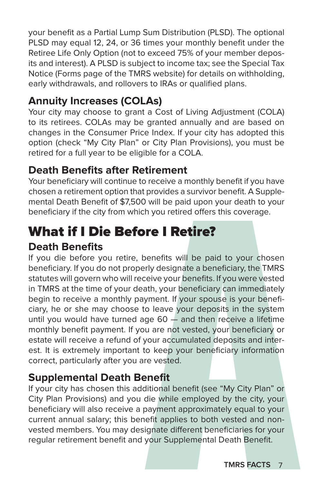your benefit as a Partial Lump Sum Distribution (PLSD). The optional PLSD may equal 12, 24, or 36 times your monthly benefit under the Retiree Life Only Option (not to exceed 75% of your member deposits and interest). A PLSD is subject to income tax; see the Special Tax Notice (Forms page of the TMRS website) for details on withholding, early withdrawals, and rollovers to IRAs or qualified plans.

# **Annuity Increases (COLAs)**

Your city may choose to grant a Cost of Living Adjustment (COLA) to its retirees. COLAs may be granted annually and are based on changes in the Consumer Price Index. If your city has adopted this option (check "My City Plan" or City Plan Provisions), you must be retired for a full year to be eligible for a COLA.

# **Death Benefits after Retirement**

Your beneficiary will continue to receive a monthly benefit if you have chosen a retirement option that provides a survivor benefit. A Supplemental Death Benefit of \$7,500 will be paid upon your death to your beneficiary if the city from which you retired offers this coverage.

# What if I Die Before I Retire?

#### **Death Benefits**

If you die before you retire, benefits will be paid to your chosen beneficiary. If you do not properly designate a beneficiary, the TMRS statutes will govern who will receive your benefits. If you were vested in TMRS at the time of your death, your beneficiary can immediately begin to receive a monthly payment. If your spouse is your beneficiary, he or she may choose to leave your deposits in the system until you would have turned age 60 — and then receive a lifetime monthly benefit payment. If you are not vested, your beneficiary or estate will receive a refund of your accumulated deposits and interest. It is extremely important to keep your beneficiary information correct, particularly after you are vested.

#### **Supplemental Death Benefit**

If your city has chosen this additional benefit (see "My City Plan" or City Plan Provisions) and you die while employed by the city, your beneficiary will also receive a payment approximately equal to your current annual salary; this benefit applies to both vested and nonvested members. You may designate different beneficiaries for your regular retirement benefit and your Supplemental Death Benefit.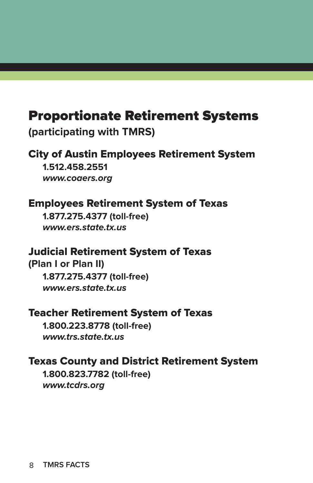# Proportionate Retirement Systems

**(participating with TMRS)**

#### City of Austin Employees Retirement System **1.512.458.2551 www.coaers.org**

#### Employees Retirement System of Texas

**1.877.275.4377 (toll-free) www.ers.state.tx.us**

#### Judicial Retirement System of Texas

**(Plan I or Plan II) 1.877.275.4377 (toll-free) www.ers.state.tx.us**

#### Teacher Retirement System of Texas

**1.800.223.8778 (toll-free) www.trs.state.tx.us**

#### Texas County and District Retirement System

**1.800.823.7782 (toll-free) www.tcdrs.org**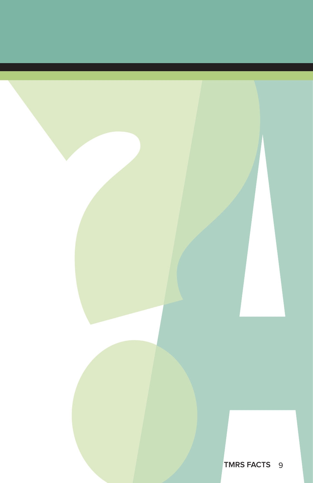